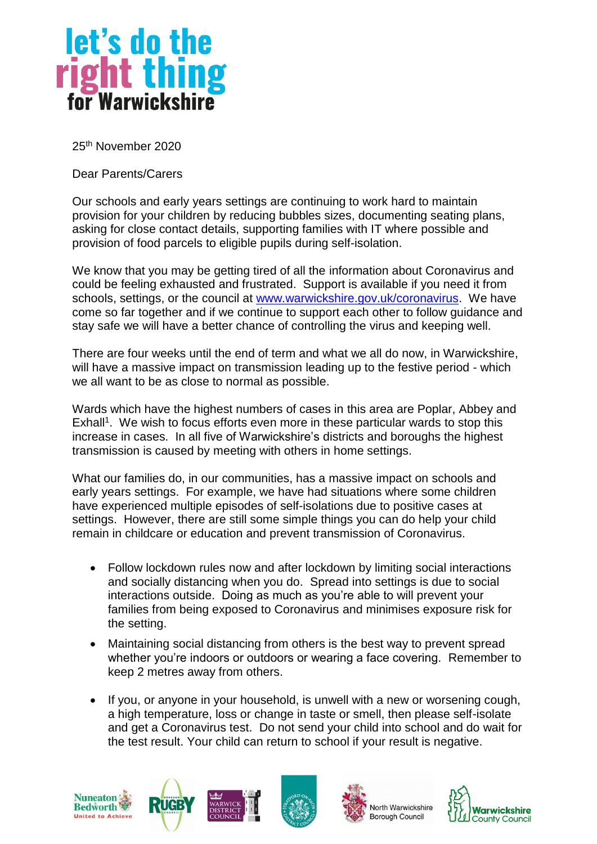

25th November 2020

Dear Parents/Carers

Our schools and early years settings are continuing to work hard to maintain provision for your children by reducing bubbles sizes, documenting seating plans, asking for close contact details, supporting families with IT where possible and provision of food parcels to eligible pupils during self-isolation.

We know that you may be getting tired of all the information about Coronavirus and could be feeling exhausted and frustrated. Support is available if you need it from schools, settings, or the council at [www.warwickshire.gov.uk/coronavirus.](http://www.warwickshire.gov.uk/coronavirus) We have come so far together and if we continue to support each other to follow guidance and stay safe we will have a better chance of controlling the virus and keeping well.

There are four weeks until the end of term and what we all do now, in Warwickshire, will have a massive impact on transmission leading up to the festive period - which we all want to be as close to normal as possible.

Wards which have the highest numbers of cases in this area are Poplar, Abbey and Exhall<sup>1</sup>. We wish to focus efforts even more in these particular wards to stop this increase in cases. In all five of Warwickshire's districts and boroughs the highest transmission is caused by meeting with others in home settings.

What our families do, in our communities, has a massive impact on schools and early years settings. For example, we have had situations where some children have experienced multiple episodes of self-isolations due to positive cases at settings. However, there are still some simple things you can do help your child remain in childcare or education and prevent transmission of Coronavirus.

- Follow lockdown rules now and after lockdown by limiting social interactions and socially distancing when you do. Spread into settings is due to social interactions outside. Doing as much as you're able to will prevent your families from being exposed to Coronavirus and minimises exposure risk for the setting.
- Maintaining social distancing from others is the best way to prevent spread whether you're indoors or outdoors or wearing a face covering. Remember to keep 2 metres away from others.
- If you, or anyone in your household, is unwell with a new or worsening cough, a high temperature, loss or change in taste or smell, then please self-isolate and get a Coronavirus test. Do not send your child into school and do wait for the test result. Your child can return to school if your result is negative.